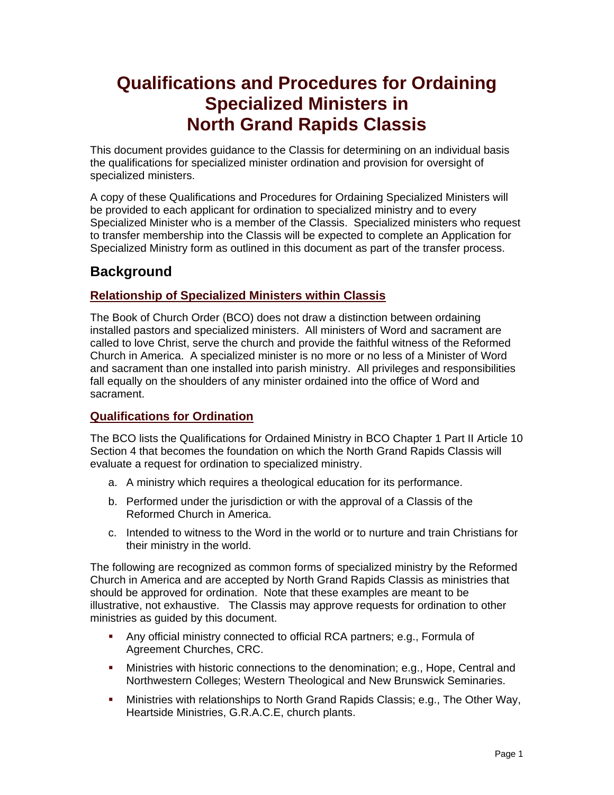# **Qualifications and Procedures for Ordaining Specialized Ministers in North Grand Rapids Classis**

This document provides guidance to the Classis for determining on an individual basis the qualifications for specialized minister ordination and provision for oversight of specialized ministers.

A copy of these Qualifications and Procedures for Ordaining Specialized Ministers will be provided to each applicant for ordination to specialized ministry and to every Specialized Minister who is a member of the Classis. Specialized ministers who request to transfer membership into the Classis will be expected to complete an Application for Specialized Ministry form as outlined in this document as part of the transfer process.

## **Background**

### **Relationship of Specialized Ministers within Classis**

The Book of Church Order (BCO) does not draw a distinction between ordaining installed pastors and specialized ministers. All ministers of Word and sacrament are called to love Christ, serve the church and provide the faithful witness of the Reformed Church in America. A specialized minister is no more or no less of a Minister of Word and sacrament than one installed into parish ministry. All privileges and responsibilities fall equally on the shoulders of any minister ordained into the office of Word and sacrament.

### **Qualifications for Ordination**

The BCO lists the Qualifications for Ordained Ministry in BCO Chapter 1 Part II Article 10 Section 4 that becomes the foundation on which the North Grand Rapids Classis will evaluate a request for ordination to specialized ministry.

- a. A ministry which requires a theological education for its performance.
- b. Performed under the jurisdiction or with the approval of a Classis of the Reformed Church in America.
- c. Intended to witness to the Word in the world or to nurture and train Christians for their ministry in the world.

The following are recognized as common forms of specialized ministry by the Reformed Church in America and are accepted by North Grand Rapids Classis as ministries that should be approved for ordination. Note that these examples are meant to be illustrative, not exhaustive. The Classis may approve requests for ordination to other ministries as guided by this document.

- Any official ministry connected to official RCA partners; e.g., Formula of Agreement Churches, CRC.
- Ministries with historic connections to the denomination; e.g., Hope, Central and Northwestern Colleges; Western Theological and New Brunswick Seminaries.
- Ministries with relationships to North Grand Rapids Classis; e.g., The Other Way, Heartside Ministries, G.R.A.C.E, church plants.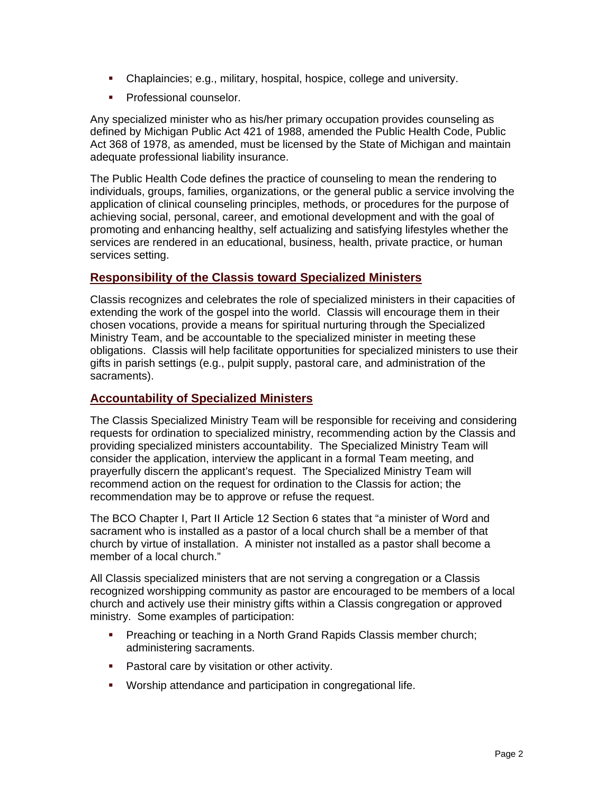- Chaplaincies; e.g., military, hospital, hospice, college and university.
- **Professional counselor.**

Any specialized minister who as his/her primary occupation provides counseling as defined by Michigan Public Act 421 of 1988, amended the Public Health Code, Public Act 368 of 1978, as amended, must be licensed by the State of Michigan and maintain adequate professional liability insurance.

The Public Health Code defines the practice of counseling to mean the rendering to individuals, groups, families, organizations, or the general public a service involving the application of clinical counseling principles, methods, or procedures for the purpose of achieving social, personal, career, and emotional development and with the goal of promoting and enhancing healthy, self actualizing and satisfying lifestyles whether the services are rendered in an educational, business, health, private practice, or human services setting.

#### **Responsibility of the Classis toward Specialized Ministers**

Classis recognizes and celebrates the role of specialized ministers in their capacities of extending the work of the gospel into the world. Classis will encourage them in their chosen vocations, provide a means for spiritual nurturing through the Specialized Ministry Team, and be accountable to the specialized minister in meeting these obligations. Classis will help facilitate opportunities for specialized ministers to use their gifts in parish settings (e.g., pulpit supply, pastoral care, and administration of the sacraments).

#### **Accountability of Specialized Ministers**

The Classis Specialized Ministry Team will be responsible for receiving and considering requests for ordination to specialized ministry, recommending action by the Classis and providing specialized ministers accountability. The Specialized Ministry Team will consider the application, interview the applicant in a formal Team meeting, and prayerfully discern the applicant's request. The Specialized Ministry Team will recommend action on the request for ordination to the Classis for action; the recommendation may be to approve or refuse the request.

The BCO Chapter I, Part II Article 12 Section 6 states that "a minister of Word and sacrament who is installed as a pastor of a local church shall be a member of that church by virtue of installation. A minister not installed as a pastor shall become a member of a local church."

All Classis specialized ministers that are not serving a congregation or a Classis recognized worshipping community as pastor are encouraged to be members of a local church and actively use their ministry gifts within a Classis congregation or approved ministry. Some examples of participation:

- **Preaching or teaching in a North Grand Rapids Classis member church;** administering sacraments.
- **Pastoral care by visitation or other activity.**
- Worship attendance and participation in congregational life.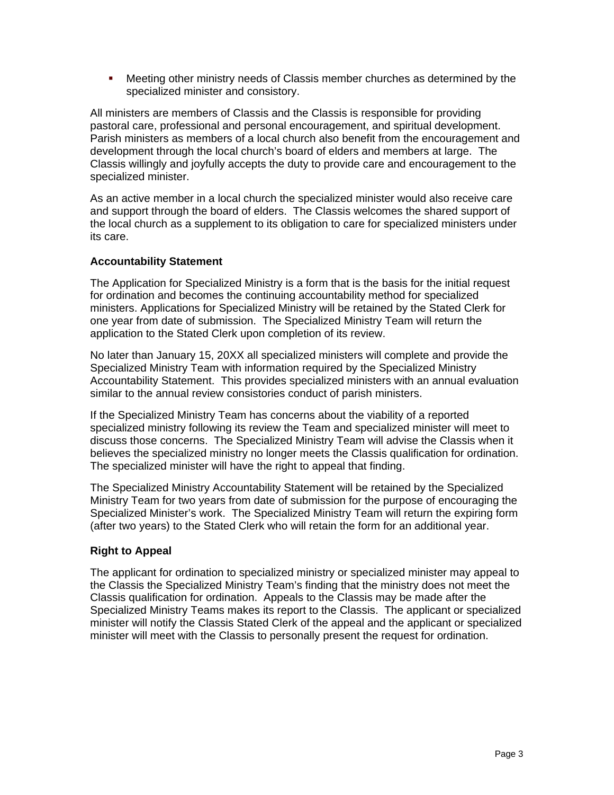**•** Meeting other ministry needs of Classis member churches as determined by the specialized minister and consistory.

All ministers are members of Classis and the Classis is responsible for providing pastoral care, professional and personal encouragement, and spiritual development. Parish ministers as members of a local church also benefit from the encouragement and development through the local church's board of elders and members at large. The Classis willingly and joyfully accepts the duty to provide care and encouragement to the specialized minister.

As an active member in a local church the specialized minister would also receive care and support through the board of elders. The Classis welcomes the shared support of the local church as a supplement to its obligation to care for specialized ministers under its care.

#### **Accountability Statement**

The Application for Specialized Ministry is a form that is the basis for the initial request for ordination and becomes the continuing accountability method for specialized ministers. Applications for Specialized Ministry will be retained by the Stated Clerk for one year from date of submission. The Specialized Ministry Team will return the application to the Stated Clerk upon completion of its review.

No later than January 15, 20XX all specialized ministers will complete and provide the Specialized Ministry Team with information required by the Specialized Ministry Accountability Statement. This provides specialized ministers with an annual evaluation similar to the annual review consistories conduct of parish ministers.

If the Specialized Ministry Team has concerns about the viability of a reported specialized ministry following its review the Team and specialized minister will meet to discuss those concerns. The Specialized Ministry Team will advise the Classis when it believes the specialized ministry no longer meets the Classis qualification for ordination. The specialized minister will have the right to appeal that finding.

The Specialized Ministry Accountability Statement will be retained by the Specialized Ministry Team for two years from date of submission for the purpose of encouraging the Specialized Minister's work. The Specialized Ministry Team will return the expiring form (after two years) to the Stated Clerk who will retain the form for an additional year.

#### **Right to Appeal**

The applicant for ordination to specialized ministry or specialized minister may appeal to the Classis the Specialized Ministry Team's finding that the ministry does not meet the Classis qualification for ordination. Appeals to the Classis may be made after the Specialized Ministry Teams makes its report to the Classis. The applicant or specialized minister will notify the Classis Stated Clerk of the appeal and the applicant or specialized minister will meet with the Classis to personally present the request for ordination.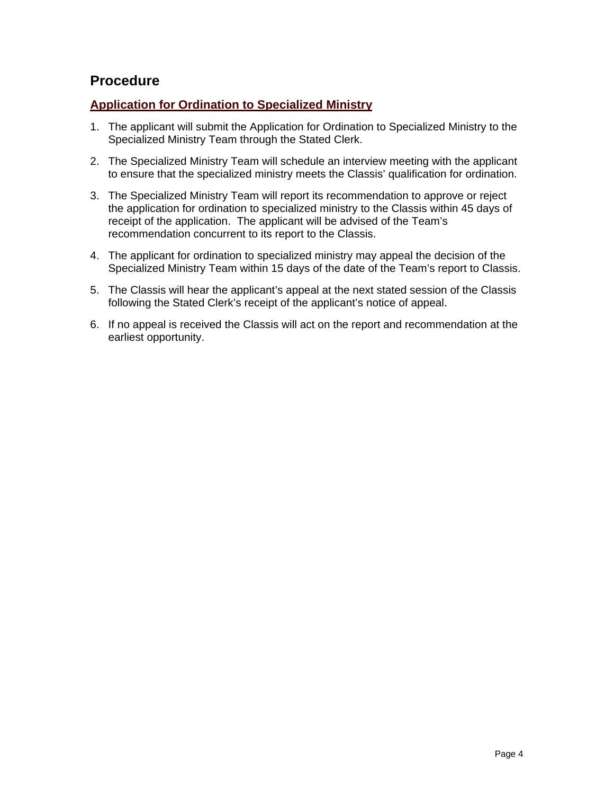## **Procedure**

#### **Application for Ordination to Specialized Ministry**

- 1. The applicant will submit the Application for Ordination to Specialized Ministry to the Specialized Ministry Team through the Stated Clerk.
- 2. The Specialized Ministry Team will schedule an interview meeting with the applicant to ensure that the specialized ministry meets the Classis' qualification for ordination.
- 3. The Specialized Ministry Team will report its recommendation to approve or reject the application for ordination to specialized ministry to the Classis within 45 days of receipt of the application. The applicant will be advised of the Team's recommendation concurrent to its report to the Classis.
- 4. The applicant for ordination to specialized ministry may appeal the decision of the Specialized Ministry Team within 15 days of the date of the Team's report to Classis.
- 5. The Classis will hear the applicant's appeal at the next stated session of the Classis following the Stated Clerk's receipt of the applicant's notice of appeal.
- 6. If no appeal is received the Classis will act on the report and recommendation at the earliest opportunity.